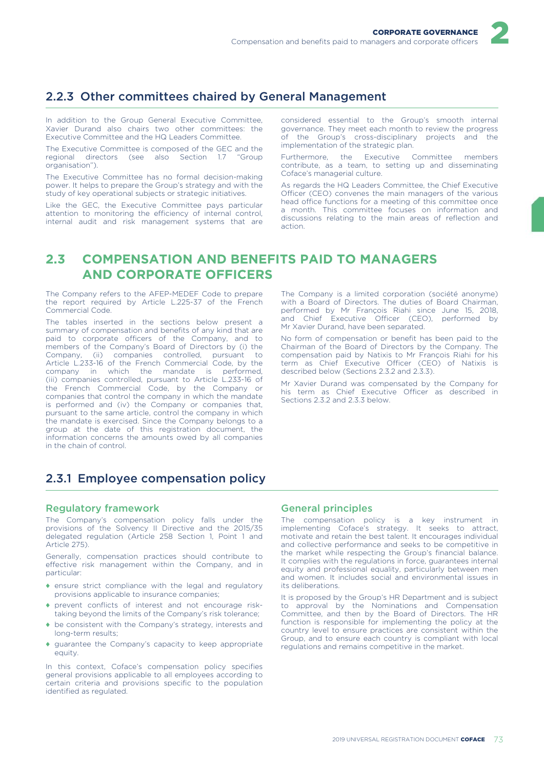# 2.2.3 Other committees chaired by General Management

In addition to the Group General Executive Committee, Xavier Durand also chairs two other committees: the Executive Committee and the HQ Leaders Committee.

The Executive Committee is composed of the GEC and the regional directors (see also Section 1.7 "Group regional directors (see also Section  $1.7$ organisation").

The Executive Committee has no formal decision-making power. It helps to prepare the Group's strategy and with the study of key operational subjects or strategic initiatives.

Like the GEC, the Executive Committee pays particular attention to monitoring the efficiency of internal control, internal audit and risk management systems that are considered essential to the Group's smooth internal governance. They meet each month to review the progress of the Group's cross-disciplinary projects and the implementation of the strategic plan.

Furthermore, the Executive Committee members contribute, as a team, to setting up and disseminating Coface's managerial culture.

As regards the HQ Leaders Committee, the Chief Executive Officer (CEO) convenes the main managers of the various head office functions for a meeting of this committee once a month. This committee focuses on information and discussions relating to the main areas of reflection and action.

# **2.3 COMPENSATION AND BENEFITS PAID TO MANAGERS AND CORPORATE OFFICERS**

The Company refers to the AFEP-MEDEF Code to prepare the report required by Article L.225-37 of the French Commercial Code.

The tables inserted in the sections below present a summary of compensation and benefits of any kind that are paid to corporate officers of the Company, and to members of the Company's Board of Directors by (i) the Company, (ii) companies controlled, pursuant to Company, (ii) companies controlled, pursuant to Article L.233-16 of the French Commercial Code, by the company in which the mandate is performed, (iii) companies controlled, pursuant to Article L.233-16 of the French Commercial Code, by the Company or companies that control the company in which the mandate is performed and (iv) the Company or companies that, pursuant to the same article, control the company in which the mandate is exercised. Since the Company belongs to a group at the date of this registration document, the information concerns the amounts owed by all companies in the chain of control.

The Company is a limited corporation (société anonyme) with a Board of Directors. The duties of Board Chairman, performed by Mr François Riahi since June 15, 2018, and Chief Executive Officer (CEO), performed by Mr Xavier Durand, have been separated.

No form of compensation or benefit has been paid to the Chairman of the Board of Directors by the Company. The compensation paid by Natixis to Mr François Riahi for his term as Chief Executive Officer (CEO) of Natixis is described below (Sections 2.3.2 and 2.3.3).

Mr Xavier Durand was compensated by the Company for his term as Chief Executive Officer as described in Sections 2.3.2 and 2.3.3 below.

# 2.3.1 Employee compensation policy

### Regulatory framework

The Company's compensation policy falls under the provisions of the Solvency II Directive and the 2015/35 delegated regulation (Article 258 Section 1, Point 1 and Article 275).

Generally, compensation practices should contribute to effective risk management within the Company, and in particular:

- ♦ ensure strict compliance with the legal and regulatory provisions applicable to insurance companies;
- ♦ prevent conflicts of interest and not encourage risktaking beyond the limits of the Company's risk tolerance;
- ♦ be consistent with the Company's strategy, interests and long-term results;
- ♦ guarantee the Company's capacity to keep appropriate equity.

In this context, Coface's compensation policy specifies general provisions applicable to all employees according to certain criteria and provisions specific to the population identified as regulated.

### General principles

The compensation policy is a key instrument in implementing Coface's strategy. It seeks to attract, motivate and retain the best talent. It encourages individual and collective performance and seeks to be competitive in the market while respecting the Group's financial balance. It complies with the regulations in force, guarantees internal equity and professional equality, particularly between men and women. It includes social and environmental issues in its deliberations.

It is proposed by the Group's HR Department and is subject to approval by the Nominations and Compensation Committee, and then by the Board of Directors. The HR function is responsible for implementing the policy at the country level to ensure practices are consistent within the Group, and to ensure each country is compliant with local regulations and remains competitive in the market.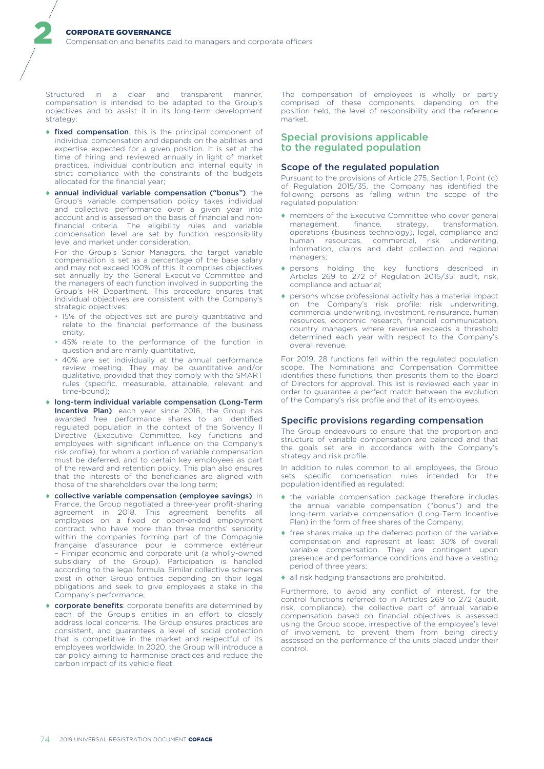Structured in a clear and transparent manner, compensation is intended to be adapted to the Group's objectives and to assist it in its long-term development strategy:

2

- ♦ fixed compensation: this is the principal component of individual compensation and depends on the abilities and expertise expected for a given position. It is set at the time of hiring and reviewed annually in light of market practices, individual contribution and internal equity in strict compliance with the constraints of the budgets allocated for the financial year;
- ♦ annual individual variable compensation ("bonus"): the Group's variable compensation policy takes individual and collective performance over a given year into account and is assessed on the basis of financial and nonfinancial criteria. The eligibility rules and variable compensation level are set by function, responsibility level and market under consideration.

For the Group's Senior Managers, the target variable compensation is set as a percentage of the base salary and may not exceed 100% of this. It comprises objectives set annually by the General Executive Committee and the managers of each function involved in supporting the Group's HR Department. This procedure ensures that individual objectives are consistent with the Company's strategic objectives:

- 15% of the objectives set are purely quantitative and relate to the financial performance of the business entity,
- 45% relate to the performance of the function in question and are mainly quantitative,
- 40% are set individually at the annual performance review meeting. They may be quantitative and/or qualitative, provided that they comply with the SMART rules (specific, measurable, attainable, relevant and time-bound);
- ♦ long-term individual variable compensation (Long-Term Incentive Plan): each year since 2016, the Group has awarded free performance shares to an identified regulated population in the context of the Solvency II Directive (Executive Committee, key functions and employees with significant influence on the Company's risk profile), for whom a portion of variable compensation must be deferred, and to certain key employees as part of the reward and retention policy. This plan also ensures that the interests of the beneficiaries are aligned with those of the shareholders over the long term;
- ♦ collective variable compensation (employee savings): in France, the Group negotiated a three-year profit-sharing agreement in 2018. This agreement benefits all employees on a fixed or open-ended employment contract, who have more than three months' seniority within the companies forming part of the Compagnie française d'assurance pour le commerce extérieur – Fimipar economic and corporate unit (a wholly-owned subsidiary of the Group). Participation is handled according to the legal formula. Similar collective schemes exist in other Group entities depending on their legal obligations and seek to give employees a stake in the Company's performance;
- ♦ corporate benefits: corporate benefits are determined by each of the Group's entities in an effort to closely address local concerns. The Group ensures practices are consistent, and guarantees a level of social protection that is competitive in the market and respectful of its employees worldwide. In 2020, the Group will introduce a car policy aiming to harmonise practices and reduce the carbon impact of its vehicle fleet.

The compensation of employees is wholly or partly comprised of these components, depending on the position held, the level of responsibility and the reference market.

### Special provisions applicable to the regulated population

### Scope of the regulated population

Pursuant to the provisions of Article 275, Section 1, Point (c) of Regulation 2015/35, the Company has identified the following persons as falling within the scope of the regulated population:

- ♦ members of the Executive Committee who cover general management, finance, strategy, transformation, operations (business technology), legal, compliance and human resources, commercial, risk underwriting, information, claims and debt collection and regional managers;
- ♦ persons holding the key functions described in Articles 269 to 272 of Regulation 2015/35: audit, risk, compliance and actuarial;
- ♦ persons whose professional activity has a material impact on the Company's risk profile: risk underwriting, commercial underwriting, investment, reinsurance, human resources, economic research, financial communication, country managers where revenue exceeds a threshold determined each year with respect to the Company's overall revenue.

For 2019, 28 functions fell within the regulated population scope. The Nominations and Compensation Committee identifies these functions, then presents them to the Board of Directors for approval. This list is reviewed each year in order to guarantee a perfect match between the evolution of the Company's risk profile and that of its employees.

#### Specific provisions regarding compensation

The Group endeavours to ensure that the proportion and structure of variable compensation are balanced and that the goals set are in accordance with the Company's strategy and risk profile.

In addition to rules common to all employees, the Group sets specific compensation rules intended for the population identified as regulated:

- ♦ the variable compensation package therefore includes the annual variable compensation ("bonus") and the long-term variable compensation (Long-Term Incentive Plan) in the form of free shares of the Company;
- ♦ free shares make up the deferred portion of the variable compensation and represent at least 30% of overall variable compensation. They are contingent upon presence and performance conditions and have a vesting period of three years;
- ♦ all risk hedging transactions are prohibited.

Furthermore, to avoid any conflict of interest, for the control functions referred to in Articles 269 to 272 (audit, risk, compliance), the collective part of annual variable compensation based on financial objectives is assessed using the Group scope, irrespective of the employee's level of involvement, to prevent them from being directly assessed on the performance of the units placed under their control.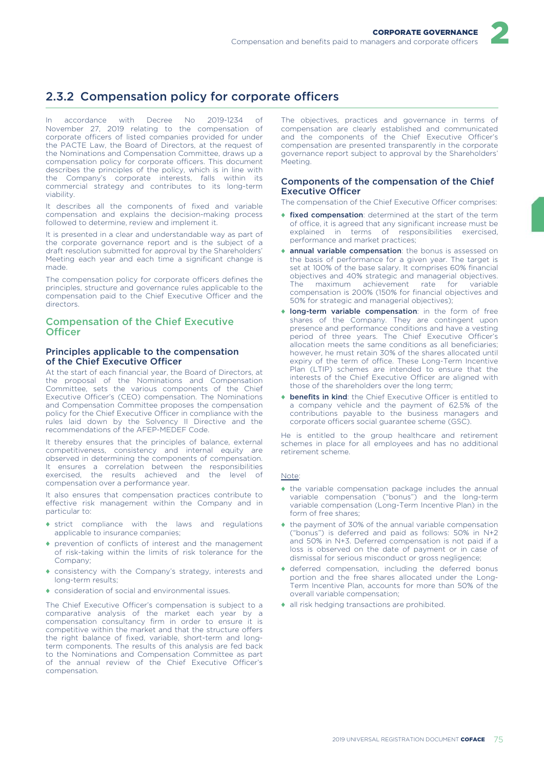# 2.3.2 Compensation policy for corporate officers

In accordance with Decree No 2019-1234 of November 27, 2019 relating to the compensation of corporate officers of listed companies provided for under the PACTE Law, the Board of Directors, at the request of the Nominations and Compensation Committee, draws up a compensation policy for corporate officers. This document describes the principles of the policy, which is in line with the Company's corporate interests, falls within its commercial strategy and contributes to its long-term viability.

It describes all the components of fixed and variable compensation and explains the decision-making process followed to determine, review and implement it.

It is presented in a clear and understandable way as part of the corporate governance report and is the subject of a draft resolution submitted for approval by the Shareholders' Meeting each year and each time a significant change is made.

The compensation policy for corporate officers defines the principles, structure and governance rules applicable to the compensation paid to the Chief Executive Officer and the directors.

### Compensation of the Chief Executive **Officer**

#### Principles applicable to the compensation of the Chief Executive Officer

At the start of each financial year, the Board of Directors, at the proposal of the Nominations and Compensation Committee, sets the various components of the Chief Executive Officer's (CEO) compensation. The Nominations and Compensation Committee proposes the compensation policy for the Chief Executive Officer in compliance with the rules laid down by the Solvency II Directive and the recommendations of the AFEP-MEDEF Code.

It thereby ensures that the principles of balance, external competitiveness, consistency and internal equity are observed in determining the components of compensation. It ensures a correlation between the responsibilities exercised, the results achieved and the level of compensation over a performance year.

It also ensures that compensation practices contribute to effective risk management within the Company and in particular to:

- ♦ strict compliance with the laws and regulations applicable to insurance companies;
- ♦ prevention of conflicts of interest and the management of risk-taking within the limits of risk tolerance for the Company;
- ♦ consistency with the Company's strategy, interests and long-term results;
- ♦ consideration of social and environmental issues.

The Chief Executive Officer's compensation is subject to a comparative analysis of the market each year by a compensation consultancy firm in order to ensure it is competitive within the market and that the structure offers the right balance of fixed, variable, short-term and longterm components. The results of this analysis are fed back to the Nominations and Compensation Committee as part of the annual review of the Chief Executive Officer's compensation.

The objectives, practices and governance in terms of compensation are clearly established and communicated and the components of the Chief Executive Officer's compensation are presented transparently in the corporate governance report subject to approval by the Shareholders' Meeting.

2

#### Components of the compensation of the Chief Executive Officer

The compensation of the Chief Executive Officer comprises:

- ♦ fixed compensation: determined at the start of the term of office, it is agreed that any significant increase must be explained in terms of responsibilities exercised, performance and market practices;
- annual variable compensation: the bonus is assessed on the basis of performance for a given year. The target is set at 100% of the base salary. It comprises 60% financial objectives and 40% strategic and managerial objectives. The maximum achievement rate for variable compensation is 200% (150% for financial objectives and 50% for strategic and managerial objectives);
- ♦ long-term variable compensation: in the form of free shares of the Company. They are contingent upon presence and performance conditions and have a vesting period of three years. The Chief Executive Officer's allocation meets the same conditions as all beneficiaries; however, he must retain 30% of the shares allocated until expiry of the term of office. These Long-Term Incentive Plan (LTIP) schemes are intended to ensure that the interests of the Chief Executive Officer are aligned with those of the shareholders over the long term;
- ♦ benefits in kind: the Chief Executive Officer is entitled to a company vehicle and the payment of 62.5% of the contributions payable to the business managers and corporate officers social guarantee scheme (GSC).

He is entitled to the group healthcare and retirement schemes in place for all employees and has no additional retirement scheme.

#### Note:

- ♦ the variable compensation package includes the annual variable compensation ("bonus") and the long-term variable compensation (Long-Term Incentive Plan) in the form of free shares;
- ♦ the payment of 30% of the annual variable compensation ("bonus") is deferred and paid as follows: 50% in N+2 and 50% in N+3. Deferred compensation is not paid if a loss is observed on the date of payment or in case of dismissal for serious misconduct or gross negligence;
- ♦ deferred compensation, including the deferred bonus portion and the free shares allocated under the Long-Term Incentive Plan, accounts for more than 50% of the overall variable compensation;
- ♦ all risk hedging transactions are prohibited.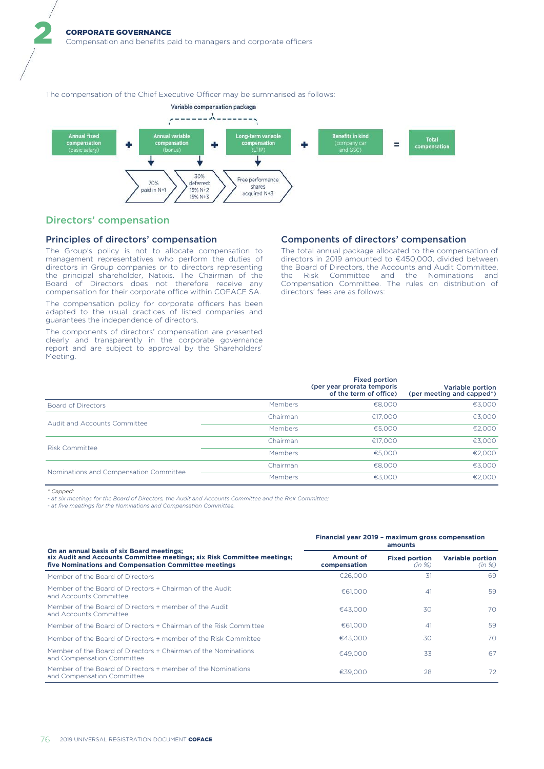The compensation of the Chief Executive Officer may be summarised as follows:



### Directors' compensation

2

#### Principles of directors' compensation

The Group's policy is not to allocate compensation to management representatives who perform the duties of directors in Group companies or to directors representing the principal shareholder, Natixis. The Chairman of the Board of Directors does not therefore receive any compensation for their corporate office within COFACE SA.

The compensation policy for corporate officers has been adapted to the usual practices of listed companies and guarantees the independence of directors.

The components of directors' compensation are presented clearly and transparently in the corporate governance report and are subject to approval by the Shareholders' Meeting.

### Components of directors' compensation

The total annual package allocated to the compensation of directors in 2019 amounted to €450,000, divided between the Board of Directors, the Accounts and Audit Committee, the Risk Committee and the Nominations and Compensation Committee. The rules on distribution of directors' fees are as follows:

|                                        |          | <b>Fixed portion</b><br>(per year prorata temporis<br>of the term of office) | Variable portion<br>(per meeting and capped*) |
|----------------------------------------|----------|------------------------------------------------------------------------------|-----------------------------------------------|
| <b>Board of Directors</b>              | Members  | €8,000                                                                       | €3,000                                        |
| Audit and Accounts Committee           | Chairman | €17.000                                                                      | €3,000                                        |
|                                        | Members  | €5,000                                                                       | €2,000                                        |
|                                        | Chairman | €17.000                                                                      | €3,000                                        |
| <b>Risk Committee</b>                  | Members  | €5,000                                                                       | €2,000                                        |
|                                        | Chairman | €8,000                                                                       | €3,000                                        |
| Nominations and Compensation Committee | Members  | €3.000                                                                       | €2.000                                        |

*\* Capped:*

*- at six meetings for the Board of Directors, the Audit and Accounts Committee and the Risk Committee;*

*- at five meetings for the Nominations and Compensation Committee.*

|                                                                                                                                                                                                                                                                                                                                                                                            | amounts                   |                                |                                   |  |  |
|--------------------------------------------------------------------------------------------------------------------------------------------------------------------------------------------------------------------------------------------------------------------------------------------------------------------------------------------------------------------------------------------|---------------------------|--------------------------------|-----------------------------------|--|--|
| On an annual basis of six Board meetings;<br>six Audit and Accounts Committee meetings; six Risk Committee meetings;<br>five Nominations and Compensation Committee meetings<br>Member of the Board of Directors<br>Member of the Board of Directors + Chairman of the Audit<br>and Accounts Committee<br>Member of the Board of Directors + member of the Audit<br>and Accounts Committee | Amount of<br>compensation | <b>Fixed portion</b><br>(in %) | <b>Variable portion</b><br>(in %) |  |  |
|                                                                                                                                                                                                                                                                                                                                                                                            | €26,000                   | 31                             | 69                                |  |  |
|                                                                                                                                                                                                                                                                                                                                                                                            | €61,000                   | 41                             | 59                                |  |  |
|                                                                                                                                                                                                                                                                                                                                                                                            | €43.000                   | 30                             | 70                                |  |  |
| Member of the Board of Directors + Chairman of the Risk Committee                                                                                                                                                                                                                                                                                                                          | €61,000                   | 41                             | 59                                |  |  |
| Member of the Board of Directors + member of the Risk Committee                                                                                                                                                                                                                                                                                                                            | €43.000                   | 30                             | 70                                |  |  |
| Member of the Board of Directors + Chairman of the Nominations<br>and Compensation Committee                                                                                                                                                                                                                                                                                               | €49,000                   | 33                             | 67                                |  |  |
| Member of the Board of Directors + member of the Nominations<br>and Compensation Committee                                                                                                                                                                                                                                                                                                 | €39,000                   | 28                             | 72                                |  |  |

### **Financial year 2019 – maximum gross compensation**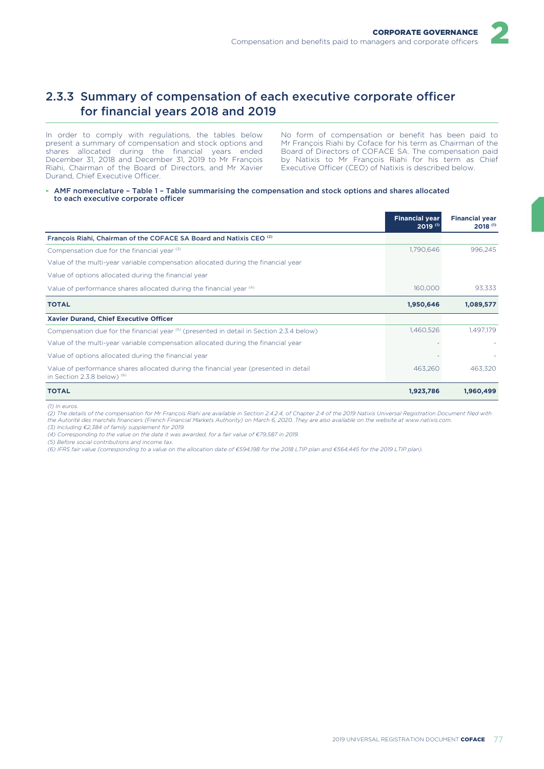

In order to comply with regulations, the tables below present a summary of compensation and stock options and shares allocated during the financial years ended December 31, 2018 and December 31, 2019 to Mr François Riahi, Chairman of the Board of Directors, and Mr Xavier Durand, Chief Executive Officer.

No form of compensation or benefit has been paid to Mr François Riahi by Coface for his term as Chairman of the Board of Directors of COFACE SA. The compensation paid by Natixis to Mr François Riahi for his term as Chief Executive Officer (CEO) of Natixis is described below.

► AMF nomenclature – Table 1 – Table summarising the compensation and stock options and shares allocated to each executive corporate officer

|                                                                                                                       | <b>Financial year</b><br>$2019^{(1)}$ | <b>Financial year</b><br>2018 <sup>(1)</sup> |
|-----------------------------------------------------------------------------------------------------------------------|---------------------------------------|----------------------------------------------|
| François Riahi, Chairman of the COFACE SA Board and Natixis CEO <sup>(2)</sup>                                        |                                       |                                              |
| Compensation due for the financial year (3)                                                                           | 1,790,646                             | 996.245                                      |
| Value of the multi-year variable compensation allocated during the financial year                                     |                                       |                                              |
| Value of options allocated during the financial year                                                                  |                                       |                                              |
| Value of performance shares allocated during the financial year (4)                                                   | 160,000                               | 93,333                                       |
| <b>TOTAL</b>                                                                                                          | 1,950,646                             | 1,089,577                                    |
| Xavier Durand, Chief Executive Officer                                                                                |                                       |                                              |
| Compensation due for the financial year <sup>(5)</sup> (presented in detail in Section 2.3.4 below)                   | 1,460,526                             | 1,497,179                                    |
| Value of the multi-year variable compensation allocated during the financial year                                     |                                       |                                              |
| Value of options allocated during the financial year                                                                  |                                       |                                              |
| Value of performance shares allocated during the financial year (presented in detail<br>in Section 2.3.8 below) $(6)$ | 463.260                               | 463.320                                      |
| <b>TOTAL</b>                                                                                                          | 1,923,786                             | 1,960,499                                    |

#### *(1) In euros.*

*(2) The details of the compensation for Mr François Riahi are available in Section 2.4.2.4, of Chapter 2.4 of the 2019 Natixis Universal Registration Document filed with the Autorité des marchés financiers (French Financial Markets Authority) on March 6, 2020. They are also available on the website at www.natixis.com.*

*(3) Including €2,384 of family supplement for 2019.*

*(4) Corresponding to the value on the date it was awarded, for a fair value of €79,587 in 2019.*

*(5) Before social contributions and income tax.*

*(6) IFRS fair value (corresponding to a value on the allocation date of €594,198 for the 2018 LTIP plan and €564,445 for the 2019 LTIP plan).*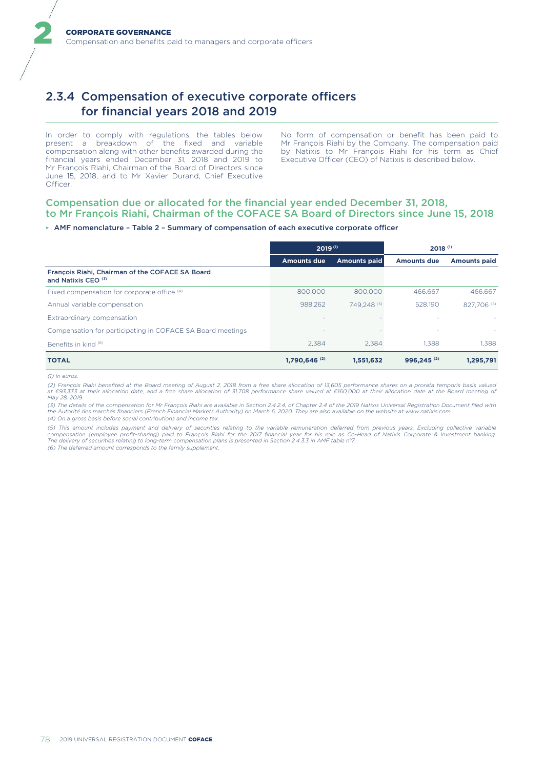# 2.3.4 Compensation of executive corporate officers for financial years 2018 and 2019

In order to comply with regulations, the tables below present a breakdown of the fixed and variable compensation along with other benefits awarded during the financial years ended December 31, 2018 and 2019 to Mr François Riahi, Chairman of the Board of Directors since June 15, 2018, and to Mr Xavier Durand, Chief Executive Officer.

No form of compensation or benefit has been paid to Mr François Riahi by the Company. The compensation paid by Natixis to Mr François Riahi for his term as Chief Executive Officer (CEO) of Natixis is described below.

### Compensation due or allocated for the financial year ended December 31, 2018, to Mr François Riahi, Chairman of the COFACE SA Board of Directors since June 15, 2018

#### ► AMF nomenclature – Table 2 – Summary of compensation of each executive corporate officer

|                                                                                   | $2019^{(1)}$               |                     | $2018^{(1)}$           |                     |  |
|-----------------------------------------------------------------------------------|----------------------------|---------------------|------------------------|---------------------|--|
|                                                                                   | <b>Amounts due</b>         | <b>Amounts paid</b> | <b>Amounts due</b>     | <b>Amounts paid</b> |  |
| François Riahi, Chairman of the COFACE SA Board<br>and Natixis CEO <sup>(3)</sup> |                            |                     |                        |                     |  |
| Fixed compensation for corporate office (4)                                       | 800,000                    | 800,000             | 466.667                | 466.667             |  |
| Annual variable compensation                                                      | 988.262                    | 749.248 (5)         | 528.190                | 827.706 (5)         |  |
| Extraordinary compensation                                                        |                            |                     |                        | ÷                   |  |
| Compensation for participating in COFACE SA Board meetings                        |                            |                     |                        |                     |  |
| Benefits in kind (6)                                                              | 2.384                      | 2.384               | 1.388                  | 1.388               |  |
| <b>TOTAL</b>                                                                      | $1.790.646$ <sup>(2)</sup> | 1,551,632           | 996.245 <sup>(2)</sup> | 1,295,791           |  |

*(1) In euros.*

2

*(2) François Riahi benefited at the Board meeting of August 2, 2018 from a free share allocation of 13,605 performance shares on a prorata temporis basis valued at €93,333 at their allocation date, and a free share allocation of 31,708 performance share valued at €160,000 at their allocation date at the Board meeting of May 28, 2019.*

(3) The details of the compensation for Mr François Riahi are available in Section 2.4.2.4, of Chapter 2.4 of the 2019 Natixis Universal Registration Document filed with<br>the Autorité des marchés financiers (French Financia *(4) On a gross basis before social contributions and income tax.*

(5) This amount includes payment and delivery of securities relating to the variable remuneration deferred from previous years. Excluding collective variable<br>compensation (employee profit-sharing) paid to François Riahi fo *The delivery of securities relating to long-term compensation plans is presented in Section 2.4.3.3 in AMF table n°7. (6) The deferred amount corresponds to the family supplement.*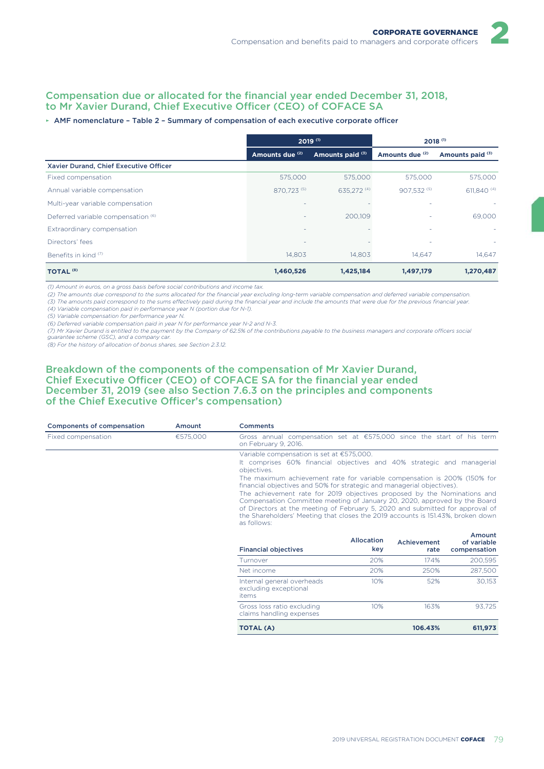### Compensation due or allocated for the financial year ended December 31, 2018, to Mr Xavier Durand, Chief Executive Officer (CEO) of COFACE SA

#### ► AMF nomenclature – Table 2 – Summary of compensation of each executive corporate officer

|                                               | $2019^{(1)}$    |                  | $2018^{(1)}$    |                  |  |
|-----------------------------------------------|-----------------|------------------|-----------------|------------------|--|
|                                               | Amounts due (2) | Amounts paid (3) | Amounts due (2) | Amounts paid (3) |  |
| Xavier Durand, Chief Executive Officer        |                 |                  |                 |                  |  |
| Fixed compensation                            | 575,000         | 575,000          | 575,000         | 575,000          |  |
| Annual variable compensation                  | 870,723 (5)     | 635,272 (4)      | 907.532 (5)     | 611,840 (4)      |  |
| Multi-year variable compensation              |                 |                  |                 |                  |  |
| Deferred variable compensation <sup>(6)</sup> |                 | 200.109          |                 | 69,000           |  |
| Extraordinary compensation                    |                 |                  | ٠               |                  |  |
| Directors' fees                               |                 |                  |                 |                  |  |
| Benefits in kind (7)                          | 14.803          | 14.803           | 14.647          | 14.647           |  |
| <b>TOTAL (8)</b>                              | 1,460,526       | 1,425,184        | 1,497,179       | 1,270,487        |  |

*(1) Amount in euros, on a gross basis before social contributions and income tax.*

*(2) The amounts due correspond to the sums allocated for the financial year excluding long-term variable compensation and deferred variable compensation.*

*(3) The amounts paid correspond to the sums effectively paid during the financial year and include the amounts that were due for the previous financial year.*

*(4) Variable compensation paid in performance year N (portion due for N-1).*

*(5) Variable compensation for performance year N.*

*(6) Deferred variable compensation paid in year N for performance year N-2 and N-3.*

*(7) Mr Xavier Durand is entitled to the payment by the Company of 62.5% of the contributions payable to the business managers and corporate officers social guarantee scheme (GSC), and a company car.*

*(8) For the history of allocation of bonus shares, see Section 2.3.12.*

### Breakdown of the components of the compensation of Mr Xavier Durand, Chief Executive Officer (CEO) of COFACE SA for the financial year ended December 31, 2019 (see also Section 7.6.3 on the principles and components of the Chief Executive Officer's compensation)

|                    | <b>Components of compensation</b><br>Comments<br>Amount |                                                                                                                                                                                                                                                                                                                                                                                                                                                                                                                                                                                         |                   |                     |                                       |  |
|--------------------|---------------------------------------------------------|-----------------------------------------------------------------------------------------------------------------------------------------------------------------------------------------------------------------------------------------------------------------------------------------------------------------------------------------------------------------------------------------------------------------------------------------------------------------------------------------------------------------------------------------------------------------------------------------|-------------------|---------------------|---------------------------------------|--|
| Fixed compensation | €575,000                                                | Gross annual compensation set at €575,000 since the start of his term<br>on February 9, 2016.                                                                                                                                                                                                                                                                                                                                                                                                                                                                                           |                   |                     |                                       |  |
|                    |                                                         | Variable compensation is set at €575,000.                                                                                                                                                                                                                                                                                                                                                                                                                                                                                                                                               |                   |                     |                                       |  |
|                    |                                                         | It comprises 60% financial objectives and 40% strategic and managerial<br>objectives.<br>The maximum achievement rate for variable compensation is 200% (150% for<br>financial objectives and 50% for strategic and managerial objectives).<br>The achievement rate for 2019 objectives proposed by the Nominations and<br>Compensation Committee meeting of January 20, 2020, approved by the Board<br>of Directors at the meeting of February 5, 2020 and submitted for approval of<br>the Shareholders' Meeting that closes the 2019 accounts is 151.43%, broken down<br>as follows: |                   |                     |                                       |  |
|                    |                                                         |                                                                                                                                                                                                                                                                                                                                                                                                                                                                                                                                                                                         |                   |                     |                                       |  |
|                    |                                                         |                                                                                                                                                                                                                                                                                                                                                                                                                                                                                                                                                                                         |                   |                     |                                       |  |
|                    |                                                         |                                                                                                                                                                                                                                                                                                                                                                                                                                                                                                                                                                                         |                   |                     |                                       |  |
|                    |                                                         | <b>Financial objectives</b>                                                                                                                                                                                                                                                                                                                                                                                                                                                                                                                                                             | Allocation<br>key | Achievement<br>rate | Amount<br>of variable<br>compensation |  |
|                    |                                                         | Turnover                                                                                                                                                                                                                                                                                                                                                                                                                                                                                                                                                                                | 20%               | 174%                | 200,595                               |  |
|                    |                                                         | Net income                                                                                                                                                                                                                                                                                                                                                                                                                                                                                                                                                                              | 20%               | 250%                | 287,500                               |  |
|                    |                                                         | Internal general overheads<br>excluding exceptional<br><i>items</i>                                                                                                                                                                                                                                                                                                                                                                                                                                                                                                                     | 10%               | 52%                 | 30,153                                |  |
|                    |                                                         | Gross loss ratio excluding<br>claims handling expenses                                                                                                                                                                                                                                                                                                                                                                                                                                                                                                                                  | 10%               | 163%                | 93,725                                |  |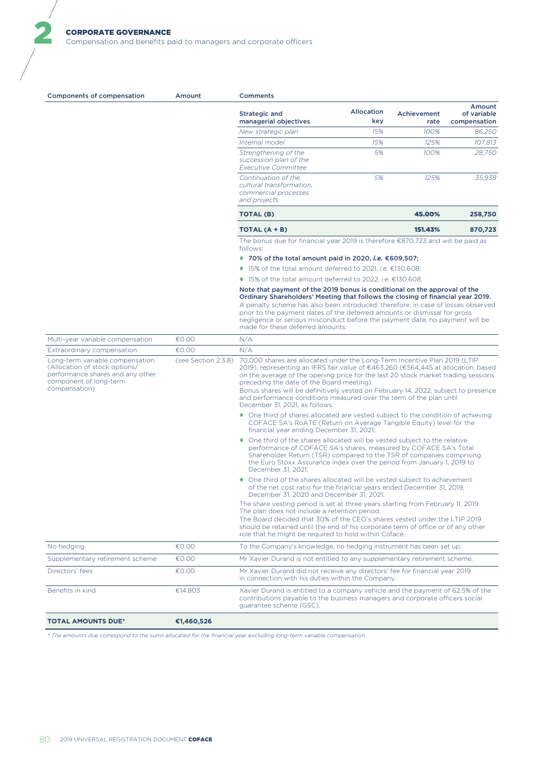Compensation and benefits paid to managers and corporate officers

| <b>Components of compensation</b>                                                                                                               | Amount              | <b>Comments</b>                                                                                                                                                                                                                                                                                                                                                                                                                                                                                 |                   |                     |                                       |
|-------------------------------------------------------------------------------------------------------------------------------------------------|---------------------|-------------------------------------------------------------------------------------------------------------------------------------------------------------------------------------------------------------------------------------------------------------------------------------------------------------------------------------------------------------------------------------------------------------------------------------------------------------------------------------------------|-------------------|---------------------|---------------------------------------|
|                                                                                                                                                 |                     | Strategic and<br>managerial objectives                                                                                                                                                                                                                                                                                                                                                                                                                                                          | Allocation<br>key | Achievement<br>rate | Amount<br>of variable<br>compensation |
|                                                                                                                                                 |                     | New strategic plan                                                                                                                                                                                                                                                                                                                                                                                                                                                                              | 15%               | 100%                | 86,250                                |
|                                                                                                                                                 |                     | Internal model                                                                                                                                                                                                                                                                                                                                                                                                                                                                                  | 15%               | 125%                | 107,813                               |
|                                                                                                                                                 |                     | Strengthening of the<br>succession plan of the<br><b>Executive Committee</b>                                                                                                                                                                                                                                                                                                                                                                                                                    | 5%                | 100%                | 28,750                                |
|                                                                                                                                                 |                     | Continuation of the<br>cultural transformation,<br>commercial processes<br>and projects                                                                                                                                                                                                                                                                                                                                                                                                         | 5%                | 125%                | 35,938                                |
|                                                                                                                                                 |                     | <b>TOTAL (B)</b>                                                                                                                                                                                                                                                                                                                                                                                                                                                                                |                   | 45,00%              | 258,750                               |
|                                                                                                                                                 |                     | TOTAL (A + B)                                                                                                                                                                                                                                                                                                                                                                                                                                                                                   |                   | 151.43%             | 870,723                               |
|                                                                                                                                                 |                     | The bonus due for financial year 2019 is therefore €870,723 and will be paid as<br>follows:                                                                                                                                                                                                                                                                                                                                                                                                     |                   |                     |                                       |
|                                                                                                                                                 |                     | ◆ 70% of the total amount paid in 2020, <i>i.e.</i> $€609,507;$                                                                                                                                                                                                                                                                                                                                                                                                                                 |                   |                     |                                       |
|                                                                                                                                                 |                     | ◆ 15% of the total amount deferred to 2021, <i>i.e.</i> €130,608;                                                                                                                                                                                                                                                                                                                                                                                                                               |                   |                     |                                       |
|                                                                                                                                                 |                     | ◆ 15% of the total amount deferred to 2022, <i>i.e.</i> €130,608.                                                                                                                                                                                                                                                                                                                                                                                                                               |                   |                     |                                       |
|                                                                                                                                                 |                     | Note that payment of the 2019 bonus is conditional on the approval of the<br>Ordinary Shareholders' Meeting that follows the closing of financial year 2019.<br>A penalty scheme has also been introduced: therefore, in case of losses observed<br>prior to the payment dates of the deferred amounts or dismissal for gross<br>negligence or serious misconduct before the payment date, no payment will be<br>made for these deferred amounts.                                               |                   |                     |                                       |
| Multi-year variable compensation                                                                                                                | €0.00               | N/A                                                                                                                                                                                                                                                                                                                                                                                                                                                                                             |                   |                     |                                       |
| Extraordinary compensation                                                                                                                      | €0.00               | N/A                                                                                                                                                                                                                                                                                                                                                                                                                                                                                             |                   |                     |                                       |
| Long-term variable compensation<br>(Allocation of stock options/<br>performance shares and any other<br>component of long-term<br>compensation) | (see Section 2.3.8) | 70,000 shares are allocated under the Long-Term Incentive Plan 2019 (LTIP<br>2019), representing an IFRS fair value of €463,260 (€564,445 at allocation, based<br>on the average of the opening price for the last 20 stock market trading sessions<br>preceding the date of the Board meeting).<br>Bonus shares will be definitively vested on February 14, 2022, subject to presence<br>and performance conditions measured over the term of the plan until<br>December 31, 2021, as follows: |                   |                     |                                       |
|                                                                                                                                                 |                     | • One third of shares allocated are vested subject to the condition of achieving<br>COFACE SA's RoATE (Return on Average Tangible Equity) level for the<br>financial year ending December 31, 2021;                                                                                                                                                                                                                                                                                             |                   |                     |                                       |
|                                                                                                                                                 |                     | • One third of the shares allocated will be vested subject to the relative<br>performance of COFACE SA's shares, measured by COFACE SA's Total<br>Shareholder Return (TSR) compared to the TSR of companies comprising<br>the Euro Stoxx Assurance index over the period from January 1, 2019 to<br>December 31, 2021;                                                                                                                                                                          |                   |                     |                                       |
|                                                                                                                                                 |                     | • One third of the shares allocated will be vested subject to achievement<br>of the net cost ratio for the financial years ended December 31, 2019,<br>December 31, 2020 and December 31, 2021.                                                                                                                                                                                                                                                                                                 |                   |                     |                                       |
|                                                                                                                                                 |                     | The share vesting period is set at three years starting from February 11, 2019.<br>The plan does not include a retention period.<br>The Board decided that 30% of the CEO's shares vested under the LTIP 2019<br>should be retained until the end of his corporate term of office or of any other<br>role that he might be required to hold within Coface.                                                                                                                                      |                   |                     |                                       |
| No hedging                                                                                                                                      | €0.00               | To the Company's knowledge, no hedging instrument has been set up.                                                                                                                                                                                                                                                                                                                                                                                                                              |                   |                     |                                       |
| Supplementary retirement scheme                                                                                                                 | €0.00               | Mr Xavier Durand is not entitled to any supplementary retirement scheme.                                                                                                                                                                                                                                                                                                                                                                                                                        |                   |                     |                                       |
| Directors' fees                                                                                                                                 | €0.00               | Mr Xavier Durand did not receive any directors' fee for financial year 2019<br>in connection with his duties within the Company.                                                                                                                                                                                                                                                                                                                                                                |                   |                     |                                       |
| Benefits in kind                                                                                                                                | €14,803             | Xavier Durand is entitled to a company vehicle and the payment of 62.5% of the<br>contributions payable to the business managers and corporate officers social<br>guarantee scheme (GSC).                                                                                                                                                                                                                                                                                                       |                   |                     |                                       |
| <b>TOTAL AMOUNTS DUE*</b>                                                                                                                       | €1,460,526          |                                                                                                                                                                                                                                                                                                                                                                                                                                                                                                 |                   |                     |                                       |

*\* The amounts due correspond to the sums allocated for the financial year excluding long-term variable compensation.*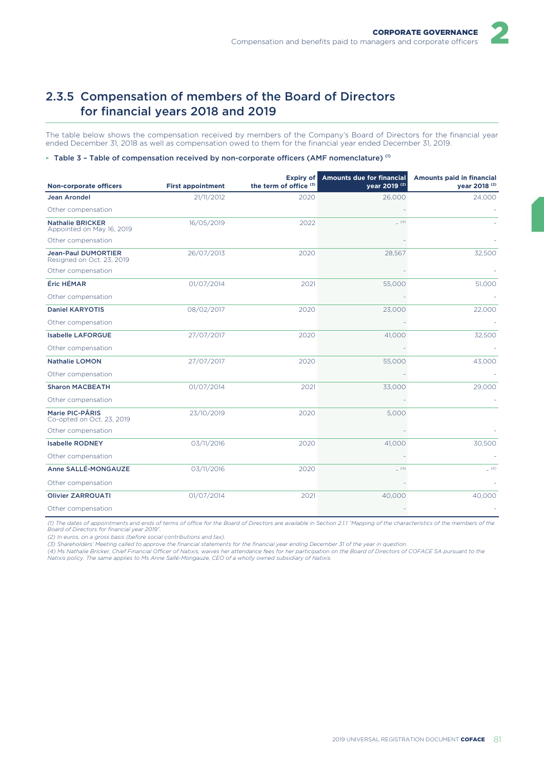

The table below shows the compensation received by members of the Company's Board of Directors for the financial year ended December 31, 2018 as well as compensation owed to them for the financial year ended December 31, 2019.

#### ► Table 3 – Table of compensation received by non-corporate officers (AMF nomenclature)<sup>(1)</sup>

| <b>Non-corporate officers</b>                           | <b>First appointment</b> | Expiry of<br>the term of office <sup>(3)</sup> | <b>Amounts due for financial</b><br>year 2019 <sup>(2)</sup> | <b>Amounts paid in financial</b><br>vear 2018 <sup>(2)</sup> |
|---------------------------------------------------------|--------------------------|------------------------------------------------|--------------------------------------------------------------|--------------------------------------------------------------|
| <b>Jean Arondel</b>                                     | 21/11/2012               | 2020                                           | 26,000                                                       | 24,000                                                       |
| Other compensation                                      |                          |                                                |                                                              |                                                              |
| <b>Nathalie BRICKER</b><br>Appointed on May 16, 2019    | 16/05/2019               | 2022                                           | (4)                                                          |                                                              |
| Other compensation                                      |                          |                                                |                                                              |                                                              |
| <b>Jean-Paul DUMORTIER</b><br>Resigned on Oct. 23, 2019 | 26/07/2013               | 2020                                           | 28,567                                                       | 32,500                                                       |
| Other compensation                                      |                          |                                                |                                                              |                                                              |
| Éric HÉMAR                                              | 01/07/2014               | 2021                                           | 55,000                                                       | 51,000                                                       |
| Other compensation                                      |                          |                                                |                                                              |                                                              |
| <b>Daniel KARYOTIS</b>                                  | 08/02/2017               | 2020                                           | 23,000                                                       | 22,000                                                       |
| Other compensation                                      |                          |                                                |                                                              |                                                              |
| <b>Isabelle LAFORGUE</b>                                | 27/07/2017               | 2020                                           | 41,000                                                       | 32,500                                                       |
| Other compensation                                      |                          |                                                |                                                              |                                                              |
| <b>Nathalie LOMON</b>                                   | 27/07/2017               | 2020                                           | 55,000                                                       | 43,000                                                       |
| Other compensation                                      |                          |                                                |                                                              |                                                              |
| <b>Sharon MACBEATH</b>                                  | 01/07/2014               | 2021                                           | 33,000                                                       | 29,000                                                       |
| Other compensation                                      |                          |                                                |                                                              |                                                              |
| Marie PIC-PÂRIS<br>Co-opted on Oct. 23, 2019            | 23/10/2019               | 2020                                           | 5,000                                                        |                                                              |
| Other compensation                                      |                          |                                                |                                                              |                                                              |
| <b>Isabelle RODNEY</b>                                  | 03/11/2016               | 2020                                           | 41,000                                                       | 30,500                                                       |
| Other compensation                                      |                          |                                                |                                                              |                                                              |
| Anne SALLÉ-MONGAUZE                                     | 03/11/2016               | 2020                                           | (4)                                                          | (4)                                                          |
| Other compensation                                      |                          |                                                |                                                              |                                                              |
| <b>Olivier ZARROUATI</b>                                | 01/07/2014               | 2021                                           | 40,000                                                       | 40,000                                                       |
| Other compensation                                      |                          |                                                |                                                              |                                                              |

*(1) The dates of appointments and ends of terms of office for the Board of Directors are available in Section 2.1.1 "Mapping of the characteristics of the members of the Board of Directors for financial year 2019".*

*(2) In euros, on a gross basis (before social contributions and tax).*

*(3) Shareholders' Meeting called to approve the financial statements for the financial year ending December 31 of the year in question.*

*(4) Ms Nathalie Bricker, Chief Financial Officer of Natixis, waives her attendance fees for her participation on the Board of Directors of COFACE SA pursuant to the Natixis policy. The same applies to Ms Anne Sallé-Mongauze, CEO of a wholly owned subsidiary of Natixis.*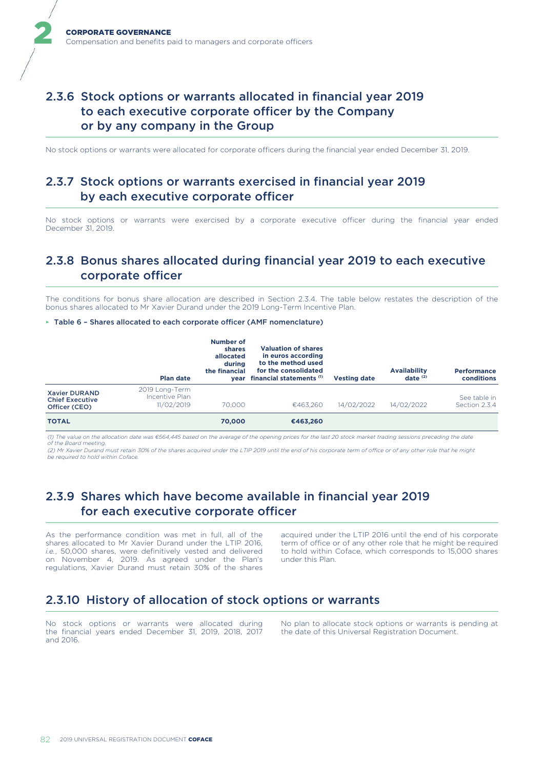# 2.3.6 Stock options or warrants allocated in financial year 2019 to each executive corporate officer by the Company or by any company in the Group

No stock options or warrants were allocated for corporate officers during the financial year ended December 31, 2019.

# 2.3.7 Stock options or warrants exercised in financial year 2019 by each executive corporate officer

No stock options or warrants were exercised by a corporate executive officer during the financial year ended December 31, 2019.

# 2.3.8 Bonus shares allocated during financial year 2019 to each executive corporate officer

The conditions for bonus share allocation are described in Section 2.3.4. The table below restates the description of the bonus shares allocated to Mr Xavier Durand under the 2019 Long-Term Incentive Plan.

#### ► Table 6 – Shares allocated to each corporate officer (AMF nomenclature)

|                                                                 | <b>Plan date</b>                               | <b>Number of</b><br>shares<br>allocated<br>during<br>the financial<br>vear | <b>Valuation of shares</b><br>in euros according<br>to the method used<br>for the consolidated<br>financial statements (1) | <b>Vesting date</b> | <b>Availability</b><br>date $(2)$ | <b>Performance</b><br>conditions |
|-----------------------------------------------------------------|------------------------------------------------|----------------------------------------------------------------------------|----------------------------------------------------------------------------------------------------------------------------|---------------------|-----------------------------------|----------------------------------|
| <b>Xavier DURAND</b><br><b>Chief Executive</b><br>Officer (CEO) | 2019 Long-Term<br>Incentive Plan<br>11/02/2019 | 70,000                                                                     | €463.260                                                                                                                   | 14/02/2022          | 14/02/2022                        | See table in<br>Section 2.3.4    |
| <b>TOTAL</b>                                                    |                                                | 70,000                                                                     | €463.260                                                                                                                   |                     |                                   |                                  |

*(1) The value on the allocation date was €564,445 based on the average of the opening prices for the last 20 stock market trading sessions preceding the date of the Board meeting.*

*(2) Mr Xavier Durand must retain 30% of the shares acquired under the LTIP 2019 until the end of his corporate term of office or of any other role that he might be required to hold within Coface.*

## 2.3.9 Shares which have become available in financial year 2019 for each executive corporate officer

As the performance condition was met in full, all of the shares allocated to Mr Xavier Durand under the LTIP 2016, *i.e.*, 50,000 shares, were definitively vested and delivered on November 4, 2019. As agreed under the Plan's regulations, Xavier Durand must retain 30% of the shares

acquired under the LTIP 2016 until the end of his corporate term of office or of any other role that he might be required to hold within Coface, which corresponds to 15,000 shares under this Plan.

### 2.3.10 History of allocation of stock options or warrants

No stock options or warrants were allocated during the financial years ended December 31, 2019, 2018, 2017 and 2016.

No plan to allocate stock options or warrants is pending at the date of this Universal Registration Document.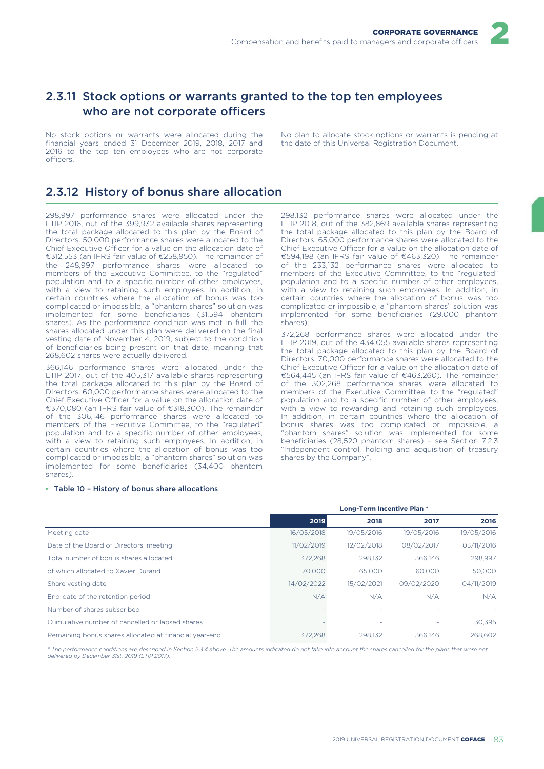

# 2.3.11 Stock options or warrants granted to the top ten employees who are not corporate officers

No stock options or warrants were allocated during the financial years ended 31 December 2019, 2018, 2017 and 2016 to the top ten employees who are not corporate officers.

No plan to allocate stock options or warrants is pending at the date of this Universal Registration Document.

# 2.3.12 History of bonus share allocation

298,997 performance shares were allocated under the LTIP 2016, out of the 399,932 available shares representing the total package allocated to this plan by the Board of Directors. 50,000 performance shares were allocated to the Chief Executive Officer for a value on the allocation date of €312,553 (an IFRS fair value of €258,950). The remainder of the 248,997 performance shares were allocated to members of the Executive Committee, to the "regulated" population and to a specific number of other employees, with a view to retaining such employees. In addition, in certain countries where the allocation of bonus was too complicated or impossible, a "phantom shares" solution was implemented for some beneficiaries (31,594 phantom shares). As the performance condition was met in full, the shares allocated under this plan were delivered on the final vesting date of November 4, 2019, subject to the condition of beneficiaries being present on that date, meaning that 268,602 shares were actually delivered.

366,146 performance shares were allocated under the LTIP 2017, out of the 405,317 available shares representing the total package allocated to this plan by the Board of Directors. 60,000 performance shares were allocated to the Chief Executive Officer for a value on the allocation date of €370,080 (an IFRS fair value of €318,300). The remainder of the 306,146 performance shares were allocated to members of the Executive Committee, to the "regulated" population and to a specific number of other employees, with a view to retaining such employees. In addition, in certain countries where the allocation of bonus was too complicated or impossible, a "phantom shares" solution was implemented for some beneficiaries (34,400 phantom shares).

### ► Table 10 – History of bonus share allocations

298,132 performance shares were allocated under the LTIP 2018, out of the 382,869 available shares representing the total package allocated to this plan by the Board of Directors. 65,000 performance shares were allocated to the Chief Executive Officer for a value on the allocation date of €594,198 (an IFRS fair value of €463,320). The remainder of the 233,132 performance shares were allocated to members of the Executive Committee, to the "regulated" population and to a specific number of other employees, with a view to retaining such employees. In addition, in certain countries where the allocation of bonus was too complicated or impossible, a "phantom shares" solution was implemented for some beneficiaries (29,000 phantom shares).

372,268 performance shares were allocated under the LTIP 2019, out of the 434,055 available shares representing the total package allocated to this plan by the Board of Directors. 70,000 performance shares were allocated to the Chief Executive Officer for a value on the allocation date of €564,445 (an IFRS fair value of €463,260). The remainder of the 302,268 performance shares were allocated to members of the Executive Committee, to the "regulated" population and to a specific number of other employees, with a view to rewarding and retaining such employees. In addition, in certain countries where the allocation of bonus shares was too complicated or impossible, a "phantom shares" solution was implemented for some beneficiaries (28,520 phantom shares) – see Section 7.2.3 "Independent control, holding and acquisition of treasury shares by the Company".

|                                                        |            | Long-Term Incentive Plan * |            |            |  |  |
|--------------------------------------------------------|------------|----------------------------|------------|------------|--|--|
|                                                        | 2019       | 2018                       | 2017       | 2016       |  |  |
| Meeting date                                           | 16/05/2018 | 19/05/2016                 | 19/05/2016 | 19/05/2016 |  |  |
| Date of the Board of Directors' meeting                | 11/02/2019 | 12/02/2018                 | 08/02/2017 | 03/11/2016 |  |  |
| Total number of bonus shares allocated                 | 372.268    | 298,132                    | 366.146    | 298,997    |  |  |
| of which allocated to Xavier Durand                    | 70,000     | 65,000                     | 60,000     | 50,000     |  |  |
| Share vesting date                                     | 14/02/2022 | 15/02/2021                 | 09/02/2020 | 04/11/2019 |  |  |
| End-date of the retention period                       | N/A        | N/A                        | N/A        | N/A        |  |  |
| Number of shares subscribed                            |            |                            |            |            |  |  |
| Cumulative number of cancelled or lapsed shares        |            |                            |            | 30.395     |  |  |
| Remaining bonus shares allocated at financial year-end | 372.268    | 298.132                    | 366.146    | 268,602    |  |  |

*\* The performance conditions are described in Section 2.3.4 above. The amounts indicated do not take into account the shares cancelled for the plans that were not delivered by December 31st, 2019 (LTIP 2017).*